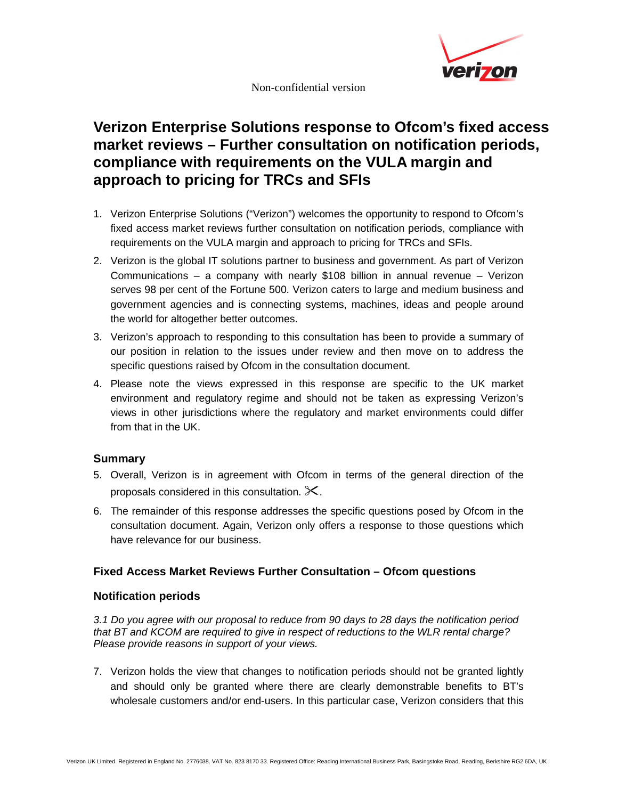

Non-confidential version

# **Verizon Enterprise Solutions response to Ofcom's fixed access market reviews – Further consultation on notification periods, compliance with requirements on the VULA margin and approach to pricing for TRCs and SFIs**

- 1. Verizon Enterprise Solutions ("Verizon") welcomes the opportunity to respond to Ofcom's fixed access market reviews further consultation on notification periods, compliance with requirements on the VULA margin and approach to pricing for TRCs and SFIs.
- 2. Verizon is the global IT solutions partner to business and government. As part of Verizon Communications – a company with nearly \$108 billion in annual revenue – Verizon serves 98 per cent of the Fortune 500. Verizon caters to large and medium business and government agencies and is connecting systems, machines, ideas and people around the world for altogether better outcomes.
- 3. Verizon's approach to responding to this consultation has been to provide a summary of our position in relation to the issues under review and then move on to address the specific questions raised by Ofcom in the consultation document.
- 4. Please note the views expressed in this response are specific to the UK market environment and regulatory regime and should not be taken as expressing Verizon's views in other jurisdictions where the regulatory and market environments could differ from that in the UK.

# **Summary**

- 5. Overall, Verizon is in agreement with Ofcom in terms of the general direction of the proposals considered in this consultation.  $\mathbb{X}$ .
- 6. The remainder of this response addresses the specific questions posed by Ofcom in the consultation document. Again, Verizon only offers a response to those questions which have relevance for our business.

# **Fixed Access Market Reviews Further Consultation – Ofcom questions**

#### **Notification periods**

3.1 Do you agree with our proposal to reduce from 90 days to 28 days the notification period that BT and KCOM are required to give in respect of reductions to the WLR rental charge? Please provide reasons in support of your views.

7. Verizon holds the view that changes to notification periods should not be granted lightly and should only be granted where there are clearly demonstrable benefits to BT's wholesale customers and/or end-users. In this particular case, Verizon considers that this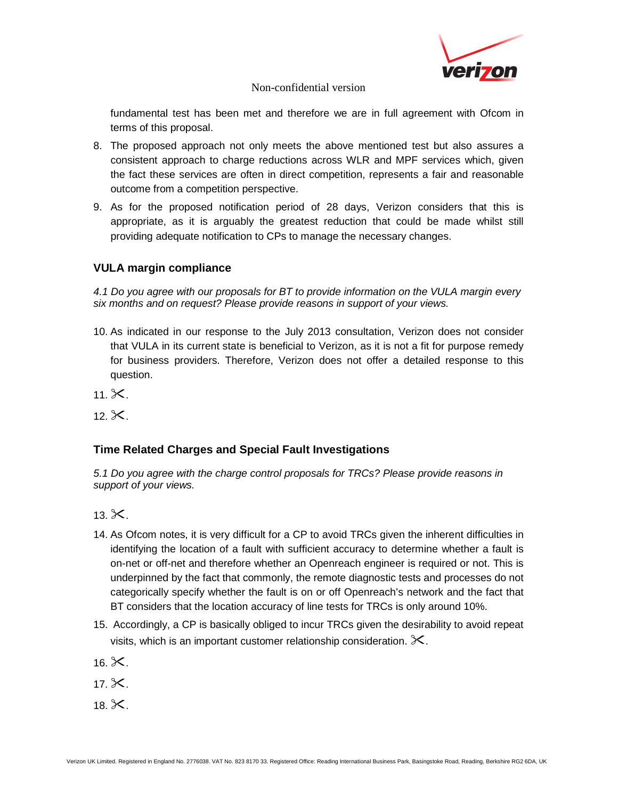

#### Non-confidential version

fundamental test has been met and therefore we are in full agreement with Ofcom in terms of this proposal.

- 8. The proposed approach not only meets the above mentioned test but also assures a consistent approach to charge reductions across WLR and MPF services which, given the fact these services are often in direct competition, represents a fair and reasonable outcome from a competition perspective.
- 9. As for the proposed notification period of 28 days, Verizon considers that this is appropriate, as it is arguably the greatest reduction that could be made whilst still providing adequate notification to CPs to manage the necessary changes.

# **VULA margin compliance**

4.1 Do you agree with our proposals for BT to provide information on the VULA margin every six months and on request? Please provide reasons in support of your views.

- 10. As indicated in our response to the July 2013 consultation, Verizon does not consider that VULA in its current state is beneficial to Verizon, as it is not a fit for purpose remedy for business providers. Therefore, Verizon does not offer a detailed response to this question.
- 11. $X$ .
- 12 $\chi$

# **Time Related Charges and Special Fault Investigations**

5.1 Do you agree with the charge control proposals for TRCs? Please provide reasons in support of your views.

- 13.  $\chi$ .
- 14. As Ofcom notes, it is very difficult for a CP to avoid TRCs given the inherent difficulties in identifying the location of a fault with sufficient accuracy to determine whether a fault is on-net or off-net and therefore whether an Openreach engineer is required or not. This is underpinned by the fact that commonly, the remote diagnostic tests and processes do not categorically specify whether the fault is on or off Openreach's network and the fact that BT considers that the location accuracy of line tests for TRCs is only around 10%.
- 15. Accordingly, a CP is basically obliged to incur TRCs given the desirability to avoid repeat visits, which is an important customer relationship consideration.  $\mathbb{X}$ .
- 16. $\chi$ .
- 17. $\chi$ .
- 18.  $\chi$ .